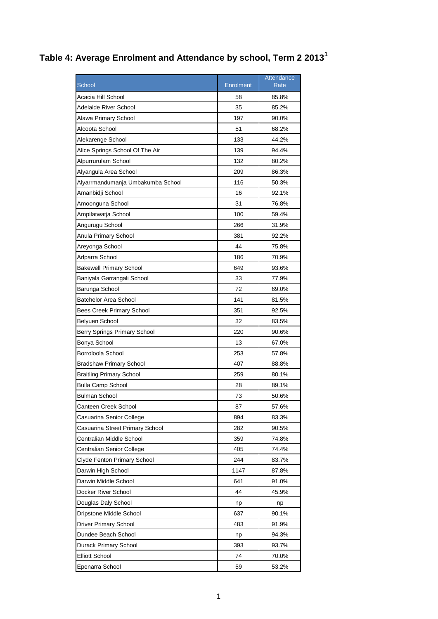## **Table 4: Average Enrolment and Attendance by school, Term 2 2013<sup>1</sup>**

|                                   |           | Attendance |
|-----------------------------------|-----------|------------|
| <b>School</b>                     | Enrolment | Rate       |
| Acacia Hill School                | 58        | 85.8%      |
| Adelaide River School             | 35        | 85.2%      |
| Alawa Primary School              | 197       | 90.0%      |
| Alcoota School                    | 51        | 68.2%      |
| Alekarenge School                 | 133       | 44.2%      |
| Alice Springs School Of The Air   | 139       | 94.4%      |
| Alpurrurulam School               | 132       | 80.2%      |
| Alyangula Area School             | 209       | 86.3%      |
| Alyarrmandumanja Umbakumba School | 116       | 50.3%      |
| Amanbidji School                  | 16        | 92.1%      |
| Amoonguna School                  | 31        | 76.8%      |
| Ampilatwatja School               | 100       | 59.4%      |
| Angurugu School                   | 266       | 31.9%      |
| Anula Primary School              | 381       | 92.2%      |
| Areyonga School                   | 44        | 75.8%      |
| Arlparra School                   | 186       | 70.9%      |
| <b>Bakewell Primary School</b>    | 649       | 93.6%      |
| Baniyala Garrangali School        | 33        | 77.9%      |
| Barunga School                    | 72        | 69.0%      |
| <b>Batchelor Area School</b>      | 141       | 81.5%      |
| <b>Bees Creek Primary School</b>  | 351       | 92.5%      |
| Belyuen School                    | 32        | 83.5%      |
| Berry Springs Primary School      | 220       | 90.6%      |
| Bonya School                      | 13        | 67.0%      |
| Borroloola School                 | 253       | 57.8%      |
| <b>Bradshaw Primary School</b>    | 407       | 88.8%      |
| Braitling Primary School          | 259       | 80.1%      |
| <b>Bulla Camp School</b>          | 28        | 89.1%      |
| <b>Bulman School</b>              | 73        | 50.6%      |
| Canteen Creek School              | 87        | 57.6%      |
| Casuarina Senior College          | 894       | 83.3%      |
| Casuarina Street Primary School   | 282       | 90.5%      |
| Centralian Middle School          | 359       | 74.8%      |
| Centralian Senior College         | 405       | 74.4%      |
| Clyde Fenton Primary School       | 244       | 83.7%      |
| Darwin High School                | 1147      | 87.8%      |
| Darwin Middle School              | 641       | 91.0%      |
| Docker River School               | 44        | 45.9%      |
| Douglas Daly School               | np        | np         |
| Dripstone Middle School           | 637       | 90.1%      |
| Driver Primary School             | 483       | 91.9%      |
| Dundee Beach School               | np        | 94.3%      |
| Durack Primary School             | 393       | 93.7%      |
| <b>Elliott School</b>             | 74        | 70.0%      |
| Epenarra School                   | 59        | 53.2%      |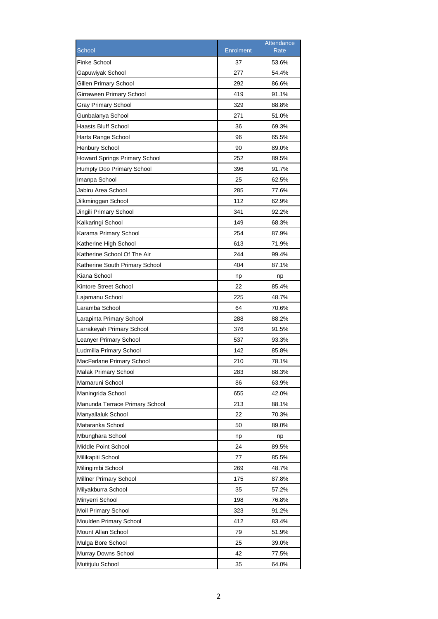|                                      |                  | Attendance  |
|--------------------------------------|------------------|-------------|
| School                               | <b>Enrolment</b> | <b>Rate</b> |
| Finke School                         | 37               | 53.6%       |
| Gapuwiyak School                     | 277              | 54.4%       |
| Gillen Primary School                | 292              | 86.6%       |
| Girraween Primary School             | 419              | 91.1%       |
| <b>Gray Primary School</b>           | 329              | 88.8%       |
| Gunbalanya School                    | 271              | 51.0%       |
| Haasts Bluff School                  | 36               | 69.3%       |
| Harts Range School                   | 96               | 65.5%       |
| <b>Henbury School</b>                | 90               | 89.0%       |
| <b>Howard Springs Primary School</b> | 252              | 89.5%       |
| Humpty Doo Primary School            | 396              | 91.7%       |
| Imanpa School                        | 25               | 62.5%       |
| Jabiru Area School                   | 285              | 77.6%       |
| Jilkminggan School                   | 112              | 62.9%       |
| Jingili Primary School               | 341              | 92.2%       |
| Kalkaringi School                    | 149              | 68.3%       |
| Karama Primary School                | 254              | 87.9%       |
| Katherine High School                | 613              | 71.9%       |
| Katherine School Of The Air          | 244              | 99.4%       |
| Katherine South Primary School       | 404              | 87.1%       |
| Kiana School                         | np               | np          |
| Kintore Street School                | 22               | 85.4%       |
| Lajamanu School                      | 225              | 48.7%       |
| Laramba School                       | 64               | 70.6%       |
| Larapinta Primary School             | 288              | 88.2%       |
| Larrakeyah Primary School            | 376              | 91.5%       |
| Leanyer Primary School               | 537              | 93.3%       |
| Ludmilla Primary School              | 142              | 85.8%       |
| MacFarlane Primary School            | 210              | 78.1%       |
| Malak Primary School                 | 283              | 88.3%       |
| Mamaruni School                      | 86               | 63.9%       |
| Maningrida School                    | 655              | 42.0%       |
| Manunda Terrace Primary School       | 213              | 88.1%       |
| Manyallaluk School                   | 22               | 70.3%       |
| Mataranka School                     | 50               | 89.0%       |
| Mbunghara School                     | np               | np          |
| Middle Point School                  | 24               | 89.5%       |
| Milikapiti School                    | 77               | 85.5%       |
|                                      | 269              |             |
| Milingimbi School                    |                  | 48.7%       |
| Millner Primary School               | 175              | 87.8%       |
| Milyakburra School                   | 35               | 57.2%       |
| Minyerri School                      | 198              | 76.8%       |
| Moil Primary School                  | 323              | 91.2%       |
| Moulden Primary School               | 412              | 83.4%       |
| Mount Allan School                   | 79               | 51.9%       |
| Mulga Bore School                    | 25               | 39.0%       |
| Murray Downs School                  | 42               | 77.5%       |
| Mutitjulu School                     | 35               | 64.0%       |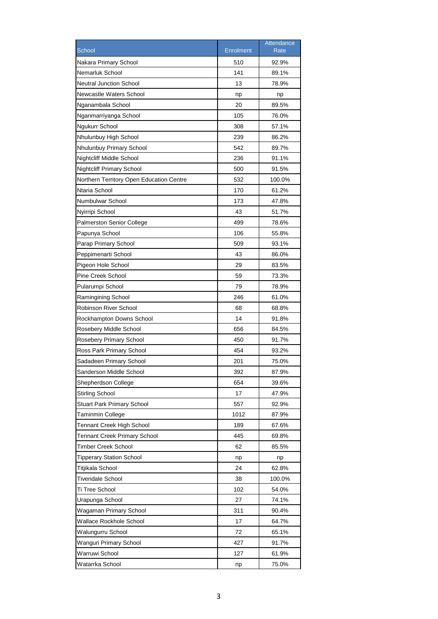|                                          |                  | Attendance  |
|------------------------------------------|------------------|-------------|
| School                                   | <b>Enrolment</b> | <b>Rate</b> |
| Nakara Primary School                    | 510              | 92.9%       |
| Nemarluk School                          | 141              | 89.1%       |
| <b>Neutral Junction School</b>           | 13               | 78.9%       |
| Newcastle Waters School                  | np               | np          |
| Nganambala School                        | 20               | 89.5%       |
| Nganmarriyanga School                    | 105              | 76.0%       |
| Ngukurr School                           | 308              | 57.1%       |
| Nhulunbuy High School                    | 239              | 86.2%       |
| Nhulunbuy Primary School                 | 542              | 89.7%       |
| Nightcliff Middle School                 | 236              | 91.1%       |
| <b>Nightcliff Primary School</b>         | 500              | 91.5%       |
| Northern Territory Open Education Centre | 532              | 100.0%      |
| Ntaria School                            | 170              | 61.2%       |
| Numbulwar School                         | 173              | 47.8%       |
| Nyirripi School                          | 43               | 51.7%       |
| <b>Palmerston Senior College</b>         | 499              | 78.6%       |
| Papunya School                           | 106              | 55.8%       |
| Parap Primary School                     | 509              | 93.1%       |
| Peppimenarti School                      | 43               | 86.0%       |
| Pigeon Hole School                       | 29               | 83.5%       |
| Pine Creek School                        | 59               | 73.3%       |
| Pularumpi School                         | 79               | 78.9%       |
| Ramingining School                       | 246              | 61.0%       |
| Robinson River School                    | 68               | 68.8%       |
| Rockhampton Downs School                 | 14               | 91.8%       |
| Rosebery Middle School                   | 656              | 84.5%       |
| Rosebery Primary School                  | 450              | 91.7%       |
| Ross Park Primary School                 | 454              | 93.2%       |
| Sadadeen Primary School                  | 201              | 75.0%       |
| Sanderson Middle School                  | 392              | 87.9%       |
| Shepherdson College                      | 654              | 39.6%       |
| <b>Stirling School</b>                   | 17               | 47.9%       |
| <b>Stuart Park Primary School</b>        | 557              | 92.9%       |
| Taminmin College                         | 1012             | 87.9%       |
| <b>Tennant Creek High School</b>         | 189              | 67.6%       |
| <b>Tennant Creek Primary School</b>      | 445              | 69.8%       |
| Timber Creek School                      | 62               | 85.5%       |
| <b>Tipperary Station School</b>          | np               | np          |
| Titjikala School                         | 24               | 62.8%       |
| <b>Tivendale School</b>                  | 38               | 100.0%      |
| Ti Tree School                           | 102              | 54.0%       |
| Urapunga School                          | 27               | 74.1%       |
| Wagaman Primary School                   | 311              | 90.4%       |
| Wallace Rockhole School                  | 17               | 64.7%       |
| Walungurru School                        | 72               | 65.1%       |
| Wanguri Primary School                   | 427              | 91.7%       |
| Warruwi School                           | 127              | 61.9%       |
| Watarrka School                          | np               | 75.0%       |